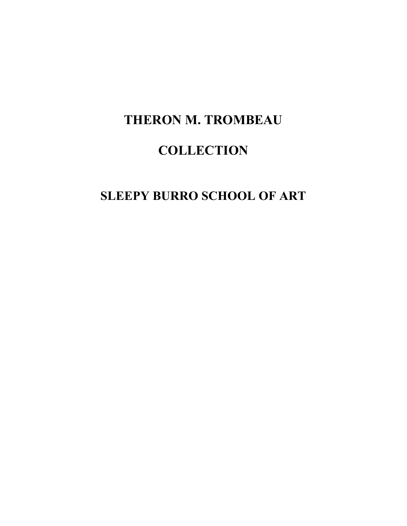# **THERON M. TROMBEAU**

# **COLLECTION**

## **SLEEPY BURRO SCHOOL OF ART**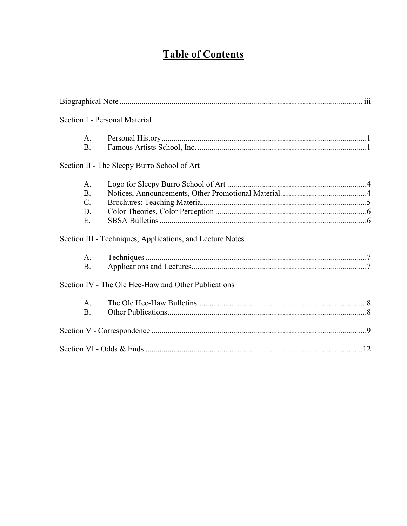# **Table of Contents**

|                | Section I - Personal Material                             |  |
|----------------|-----------------------------------------------------------|--|
| A.             |                                                           |  |
| <b>B.</b>      |                                                           |  |
|                | Section II - The Sleepy Burro School of Art               |  |
| A.             |                                                           |  |
| <b>B.</b>      |                                                           |  |
| $\mathbf{C}$ . |                                                           |  |
| D.             |                                                           |  |
| Ε.             |                                                           |  |
|                | Section III - Techniques, Applications, and Lecture Notes |  |
| A.             |                                                           |  |
| <b>B.</b>      |                                                           |  |
|                | Section IV - The Ole Hee-Haw and Other Publications       |  |
| A.             |                                                           |  |
| <b>B.</b>      |                                                           |  |
|                |                                                           |  |
|                | Section VI - Odds & Ends $\frac{1}{2}$                    |  |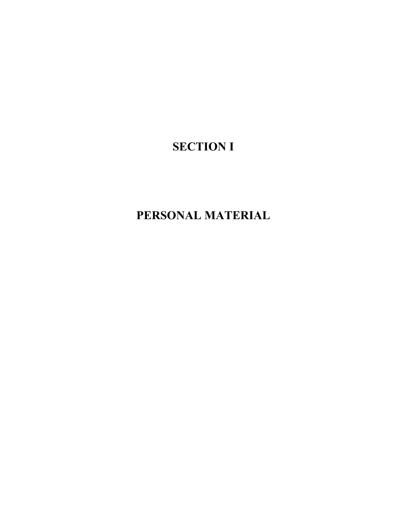# **SECTION I**

# **PERSONAL MATERIAL**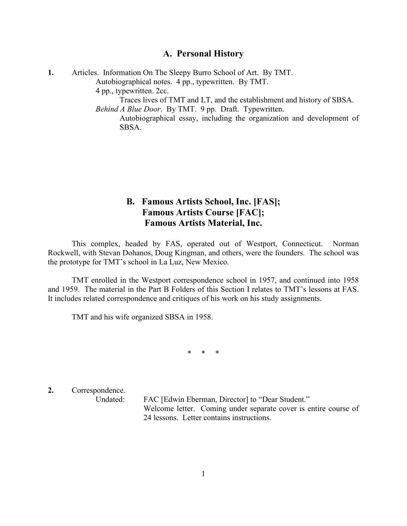### **A. Personal History**

| Articles. Information On The Sleepy Burro School of Art. By TMT.                                                                                                                                                                  |
|-----------------------------------------------------------------------------------------------------------------------------------------------------------------------------------------------------------------------------------|
| Autobiographical notes. 4 pp., typewritten. By TMT.                                                                                                                                                                               |
| 4 pp., typewritten. 2cc.                                                                                                                                                                                                          |
| Traces lives of TMT and LT, and the establishment and history of SBSA.                                                                                                                                                            |
| <i>Behind A Blue Door.</i> By TMT. 9 pp. Draft. Typewritten.                                                                                                                                                                      |
| $\lambda$ and the state of the state of the state of the state of the state of the state of the state of the state of the state of the state of the state of the state of the state of the state of the state of the state of the |

Autobiographical essay, including the organization and development of SBSA.

## **B. Famous Artists School, Inc. [FAS]; Famous Artists Course [FAC]; Famous Artists Material, Inc.**

This complex, headed by FAS, operated out of Westport, Connecticut. Norman Rockwell, with Stevan Dohanos, Doug Kingman, and others, were the founders. The school was the prototype for TMT's school in La Luz, New Mexico.

TMT enrolled in the Westport correspondence school in 1957, and continued into 1958 and 1959. The material in the Part B Folders of this Section I relates to TMT's lessons at FAS. It includes related correspondence and critiques of his work on his study assignments.

TMT and his wife organized SBSA in 1958.

\* \* \*

**2.** Correspondence.

Undated: FAC [Edwin Eberman, Director] to "Dear Student." Welcome letter. Coming under separate cover is entire course of 24 lessons. Letter contains instructions.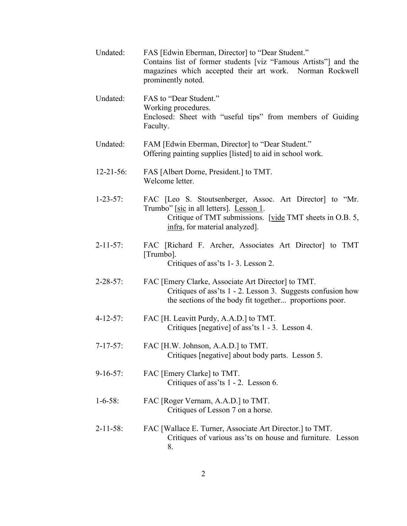| Undated:         | FAS [Edwin Eberman, Director] to "Dear Student."<br>Contains list of former students [viz "Famous Artists"] and the<br>magazines which accepted their art work. Norman Rockwell<br>prominently noted. |
|------------------|-------------------------------------------------------------------------------------------------------------------------------------------------------------------------------------------------------|
| Undated:         | FAS to "Dear Student."<br>Working procedures.<br>Enclosed: Sheet with "useful tips" from members of Guiding<br>Faculty.                                                                               |
| Undated:         | FAM [Edwin Eberman, Director] to "Dear Student."<br>Offering painting supplies [listed] to aid in school work.                                                                                        |
| $12 - 21 - 56$ : | FAS [Albert Dorne, President.] to TMT.<br>Welcome letter.                                                                                                                                             |
| $1 - 23 - 57$ :  | FAC [Leo S. Stoutsenberger, Assoc. Art Director] to "Mr.<br>Trumbo" [sic in all letters]. Lesson 1.<br>Critique of TMT submissions. [vide TMT sheets in O.B. 5,<br>infra, for material analyzed].     |
| $2 - 11 - 57$ :  | FAC [Richard F. Archer, Associates Art Director] to TMT<br>[Trumbo].<br>Critiques of ass'ts 1-3. Lesson 2.                                                                                            |
| $2 - 28 - 57$ :  | FAC [Emery Clarke, Associate Art Director] to TMT.<br>Critiques of ass'ts 1 - 2. Lesson 3. Suggests confusion how<br>the sections of the body fit together proportions poor.                          |
| $4 - 12 - 57$ :  | FAC [H. Leavitt Purdy, A.A.D.] to TMT.<br>Critiques [negative] of ass'ts 1 - 3. Lesson 4.                                                                                                             |
| $7 - 17 - 57$ :  | FAC [H.W. Johnson, A.A.D.] to TMT.<br>Critiques [negative] about body parts. Lesson 5.                                                                                                                |
| $9-16-57$ :      | FAC [Emery Clarke] to TMT.<br>Critiques of ass'ts 1 - 2. Lesson 6.                                                                                                                                    |
| $1 - 6 - 58$ :   | FAC [Roger Vernam, A.A.D.] to TMT.<br>Critiques of Lesson 7 on a horse.                                                                                                                               |
| $2 - 11 - 58$ :  | FAC [Wallace E. Turner, Associate Art Director.] to TMT.<br>Critiques of various ass'ts on house and furniture. Lesson<br>8.                                                                          |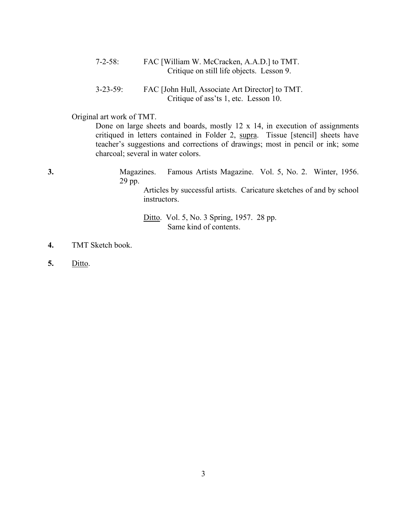7-2-58: FAC [William W. McCracken, A.A.D.] to TMT. Critique on still life objects. Lesson 9.

3-23-59: FAC [John Hull, Associate Art Director] to TMT. Critique of ass'ts 1, etc. Lesson 10.

Original art work of TMT.

Done on large sheets and boards, mostly 12 x 14, in execution of assignments critiqued in letters contained in Folder 2, supra. Tissue [stencil] sheets have teacher's suggestions and corrections of drawings; most in pencil or ink; some charcoal; several in water colors.

**3.** Magazines. Famous Artists Magazine. Vol. 5, No. 2. Winter, 1956. 29 pp.

> Articles by successful artists. Caricature sketches of and by school instructors.

Ditto. Vol. 5, No. 3 Spring, 1957. 28 pp. Same kind of contents.

- **4.** TMT Sketch book.
- **5.** Ditto.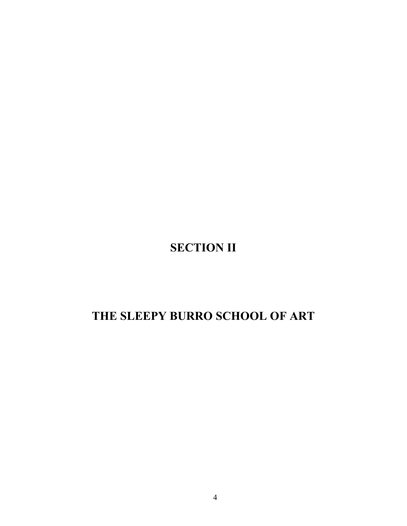# **SECTION II**

# **THE SLEEPY BURRO SCHOOL OF ART**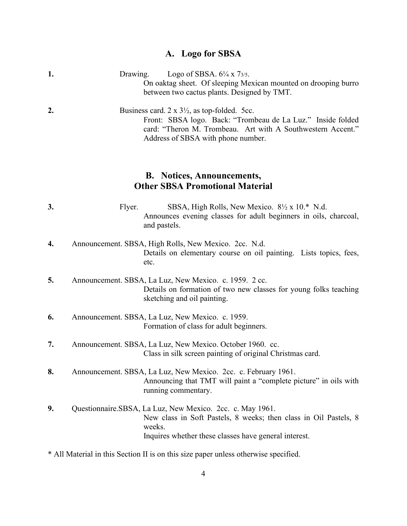#### **A. Logo for SBSA**

| 1. | Drawing. Logo of SBSA. $6\frac{1}{4} \times 7\frac{3}{5}$ .<br>On oaktag sheet. Of sleeping Mexican mounted on drooping burro<br>between two cactus plants. Designed by TMT.                                                     |
|----|----------------------------------------------------------------------------------------------------------------------------------------------------------------------------------------------------------------------------------|
| 2. | Business card. $2 \times 3\frac{1}{2}$ , as top-folded. 5cc.<br>Front: SBSA logo. Back: "Trombeau de La Luz." Inside folded<br>card: "Theron M. Trombeau. Art with A Southwestern Accent."<br>Address of SBSA with phone number. |

### **B. Notices, Announcements, Other SBSA Promotional Material**

| J. | Flyer. |                                                                  |  |  | SBSA, High Rolls, New Mexico. 8½ x 10.* N.d. |  |  |
|----|--------|------------------------------------------------------------------|--|--|----------------------------------------------|--|--|
|    |        | Announces evening classes for adult beginners in oils, charcoal, |  |  |                                              |  |  |
|    |        | and pastels.                                                     |  |  |                                              |  |  |

- **4.** Announcement. SBSA, High Rolls, New Mexico. 2cc. N.d. Details on elementary course on oil painting. Lists topics, fees, etc.
- **5.** Announcement. SBSA, La Luz, New Mexico. c. 1959. 2 cc. Details on formation of two new classes for young folks teaching sketching and oil painting.
- **6.** Announcement. SBSA, La Luz, New Mexico. c. 1959. Formation of class for adult beginners.
- **7.** Announcement. SBSA, La Luz, New Mexico. October 1960. cc. Class in silk screen painting of original Christmas card.
- **8.** Announcement. SBSA, La Luz, New Mexico. 2cc. c. February 1961. Announcing that TMT will paint a "complete picture" in oils with running commentary.
- **9.** Questionnaire.SBSA, La Luz, New Mexico. 2cc. c. May 1961. New class in Soft Pastels, 8 weeks; then class in Oil Pastels, 8 weeks. Inquires whether these classes have general interest.
- \* All Material in this Section II is on this size paper unless otherwise specified.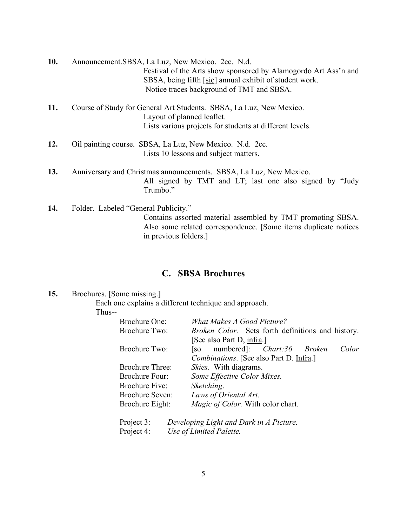| 10. | Announcement.SBSA, La Luz, New Mexico. 2cc. N.d.                                                  |
|-----|---------------------------------------------------------------------------------------------------|
|     | Festival of the Arts show sponsored by Alamogordo Art Ass'n and                                   |
|     | SBSA, being fifth [sic] annual exhibit of student work.                                           |
|     | Notice traces background of TMT and SBSA.                                                         |
| 11. | Course of Study for General Art Students. SBSA, La Luz, New Mexico.<br>Layout of planned leaflet. |
|     | Lists various projects for students at different levels.                                          |
| 12. | Oil painting course. SBSA, La Luz, New Mexico. N.d. 2cc.                                          |
|     | Lists 10 lessons and subject matters.                                                             |
| 13. | Anniversary and Christmas announcements. SBSA, La Luz, New Mexico.                                |
|     | All signed by TMT and LT; last one also signed by "Judy<br>Trumbo."                               |
| 11  | Eolder Labeled "General Publicity"                                                                |

**14.** Folder. Labeled "General Publicity." Contains assorted material assembled by TMT promoting SBSA. Also some related correspondence. [Some items duplicate notices in previous folders.]

## **C. SBSA Brochures**

### **15.** Brochures. [Some missing.]

Each one explains a different technique and approach.

Thus--

| <b>Brochure One:</b>   | <b>What Makes A Good Picture?</b>                 |
|------------------------|---------------------------------------------------|
| <b>Brochure Two:</b>   | Broken Color. Sets forth definitions and history. |
|                        | [See also Part D, infra.]                         |
| <b>Brochure Two:</b>   | [so numbered]: <i>Chart:36 Broken</i><br>Color    |
|                        | Combinations. [See also Part D. Infra.]           |
| <b>Brochure Three:</b> | <i>Skies.</i> With diagrams.                      |
| Brochure Four:         | Some Effective Color Mixes.                       |
| <b>Brochure Five:</b>  | Sketching.                                        |
| <b>Brochure Seven:</b> | Laws of Oriental Art.                             |
| <b>Brochure Eight:</b> | Magic of Color. With color chart.                 |
|                        |                                                   |
|                        |                                                   |

Project 3: *Developing Light and Dark in A Picture.* Project 4: *Use of Limited Palette.*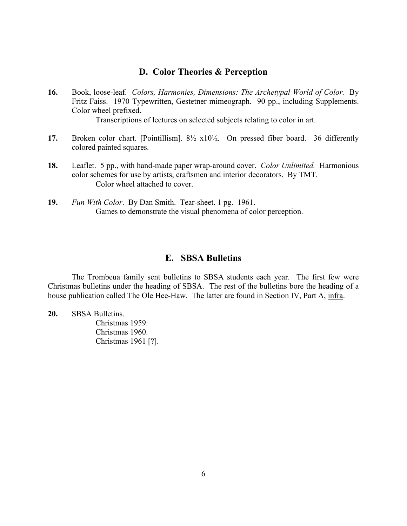### **D. Color Theories & Perception**

**16.** Book, loose-leaf. *Colors, Harmonies, Dimensions: The Archetypal World of Color.* By Fritz Faiss. 1970 Typewritten, Gestetner mimeograph. 90 pp., including Supplements. Color wheel prefixed.

Transcriptions of lectures on selected subjects relating to color in art.

- **17.** Broken color chart. [Pointillism]. 8½ x10½. On pressed fiber board. 36 differently colored painted squares.
- **18.** Leaflet. 5 pp., with hand-made paper wrap-around cover. *Color Unlimited.* Harmonious color schemes for use by artists, craftsmen and interior decorators. By TMT. Color wheel attached to cover.
- **19.** *Fun With Color*.By Dan Smith. Tear-sheet. 1 pg. 1961. Games to demonstrate the visual phenomena of color perception.

#### **E. SBSA Bulletins**

The Trombeua family sent bulletins to SBSA students each year. The first few were Christmas bulletins under the heading of SBSA. The rest of the bulletins bore the heading of a house publication called The Ole Hee-Haw. The latter are found in Section IV, Part A, infra.

**20.** SBSA Bulletins.

Christmas 1959. Christmas 1960. Christmas 1961 [?].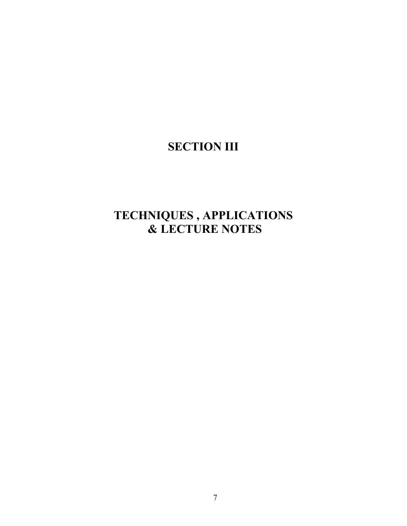## **SECTION III**

## **TECHNIQUES , APPLICATIONS & LECTURE NOTES**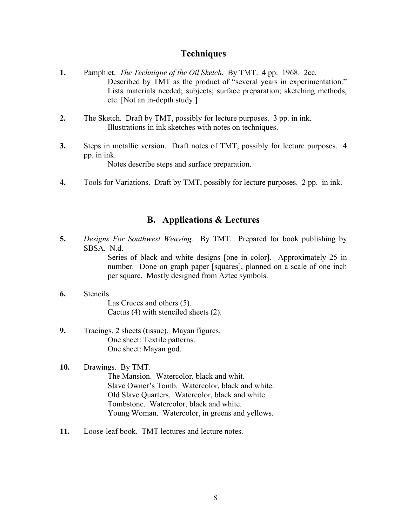### **Techniques**

- **1.** Pamphlet. *The Technique of the Oil Sketch.* By TMT. 4 pp. 1968. 2cc. Described by TMT as the product of "several years in experimentation." Lists materials needed; subjects; surface preparation; sketching methods, etc. [Not an in-depth study.]
- **2.** The Sketch. Draft by TMT, possibly for lecture purposes. 3 pp. in ink. Illustrations in ink sketches with notes on techniques.
- **3.** Steps in metallic version. Draft notes of TMT, possibly for lecture purposes. 4 pp. in ink. Notes describe steps and surface preparation.
- **4.** Tools for Variations. Draft by TMT, possibly for lecture purposes. 2 pp. in ink.

## **B. Applications & Lectures**

**5.** *Designs For Southwest Weaving.* By TMT. Prepared for book publishing by SBSA. N.d.

> Series of black and white designs [one in color]. Approximately 25 in number. Done on graph paper [squares], planned on a scale of one inch per square. Mostly designed from Aztec symbols.

- **6.** Stencils. Las Cruces and others (5). Cactus (4) with stenciled sheets (2).
- **9.** Tracings, 2 sheets (tissue). Mayan figures. One sheet: Textile patterns. One sheet: Mayan god.

#### **10.** Drawings. By TMT.

The Mansion. Watercolor, black and whit. Slave Owner's Tomb. Watercolor, black and white. Old Slave Quarters. Watercolor, black and white. Tombstone. Watercolor, black and white. Young Woman. Watercolor, in greens and yellows.

**11.** Loose-leaf book. TMT lectures and lecture notes.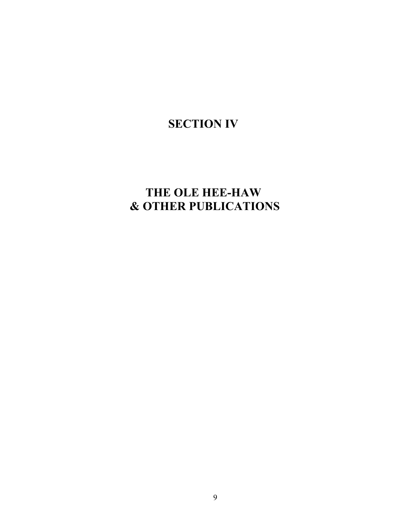# **SECTION IV**

## **THE OLE HEE-HAW & OTHER PUBLICATIONS**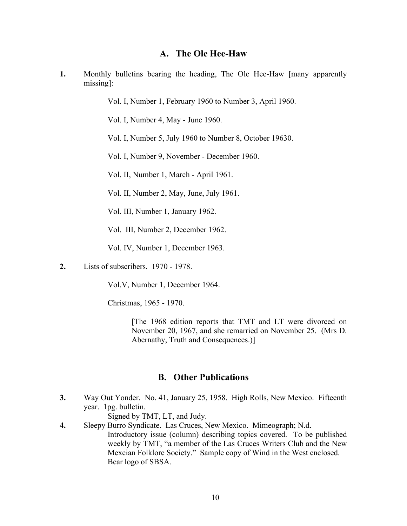#### **A. The Ole Hee-Haw**

**1.** Monthly bulletins bearing the heading, The Ole Hee-Haw [many apparently missing]:

Vol. I, Number 1, February 1960 to Number 3, April 1960.

Vol. I, Number 4, May - June 1960.

Vol. I, Number 5, July 1960 to Number 8, October 19630.

Vol. I, Number 9, November - December 1960.

Vol. II, Number 1, March - April 1961.

Vol. II, Number 2, May, June, July 1961.

Vol. III, Number 1, January 1962.

Vol. III, Number 2, December 1962.

Vol. IV, Number 1, December 1963.

**2.** Lists of subscribers. 1970 - 1978.

Vol.V, Number 1, December 1964.

Christmas, 1965 - 1970.

[The 1968 edition reports that TMT and LT were divorced on November 20, 1967, and she remarried on November 25. (Mrs D. Abernathy, Truth and Consequences.)]

#### **B. Other Publications**

**3.** Way Out Yonder. No. 41, January 25, 1958. High Rolls, New Mexico. Fifteenth year. 1pg. bulletin.

Signed by TMT, LT, and Judy.

**4.** Sleepy Burro Syndicate. Las Cruces, New Mexico. Mimeograph; N.d. Introductory issue (column) describing topics covered. To be published weekly by TMT, "a member of the Las Cruces Writers Club and the New Mexcian Folklore Society." Sample copy of Wind in the West enclosed. Bear logo of SBSA.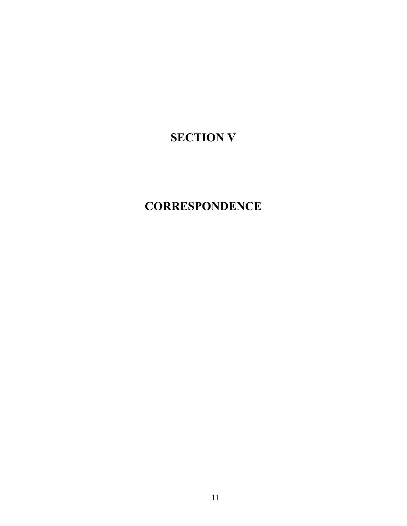# **SECTION V**

## **CORRESPONDENCE**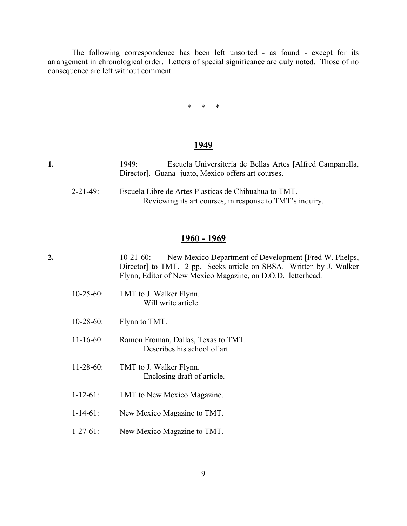The following correspondence has been left unsorted - as found - except for its arrangement in chronological order. Letters of special significance are duly noted. Those of no consequence are left without comment.

\* \* \*

#### **1949**

| 1949: | Escuela Universiteria de Bellas Artes [Alfred Campanella, |
|-------|-----------------------------------------------------------|
|       | Director]. Guana-juato, Mexico offers art courses.        |

2-21-49: Escuela Libre de Artes Plasticas de Chihuahua to TMT. Reviewing its art courses, in response to TMT's inquiry.

#### **1960 - 1969**

**2.** 10-21-60: New Mexico Department of Development [Fred W. Phelps, Director] to TMT. 2 pp. Seeks article on SBSA. Written by J. Walker Flynn, Editor of New Mexico Magazine, on D.O.D. letterhead.

- 10-25-60: TMT to J. Walker Flynn. Will write article.
- 10-28-60: Flynn to TMT.
- 11-16-60: Ramon Froman, Dallas, Texas to TMT. Describes his school of art.
- 11-28-60: TMT to J. Walker Flynn. Enclosing draft of article.
- 1-12-61: TMT to New Mexico Magazine.
- 1-14-61: New Mexico Magazine to TMT.
- 1-27-61: New Mexico Magazine to TMT.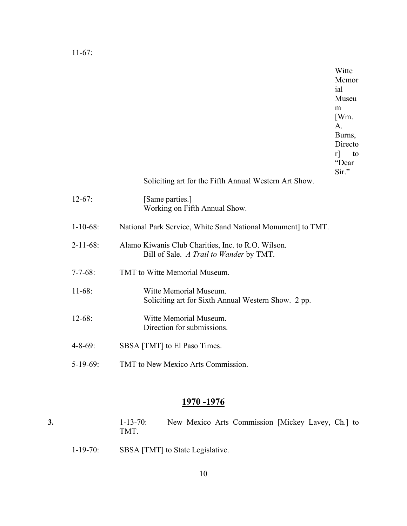11-67:

Witte Memor ial Museu m [Wm. A. Burns, Directo r] to "Dear Sir."

Soliciting art for the Fifth Annual Western Art Show.

| $12-67:$        | [Same parties.]<br>Working on Fifth Annual Show.                                              |
|-----------------|-----------------------------------------------------------------------------------------------|
| $1-10-68$ :     | National Park Service, White Sand National Monument to TMT.                                   |
| $2 - 11 - 68$ : | Alamo Kiwanis Club Charities, Inc. to R.O. Wilson.<br>Bill of Sale. A Trail to Wander by TMT. |
| $7 - 7 - 68$ :  | TMT to Witte Memorial Museum.                                                                 |
| $11-68:$        | Witte Memorial Museum.<br>Soliciting art for Sixth Annual Western Show. 2 pp.                 |
| $12 - 68:$      | Witte Memorial Museum.<br>Direction for submissions.                                          |
| $4 - 8 - 69$ :  | SBSA [TMT] to El Paso Times.                                                                  |

5-19-69: TMT to New Mexico Arts Commission.

## **1970 -1976**

|  | 1-13-70: New Mexico Arts Commission [Mickey Lavey, Ch.] to<br>TMT. |  |  |  |  |
|--|--------------------------------------------------------------------|--|--|--|--|
|  |                                                                    |  |  |  |  |

1-19-70: SBSA [TMT] to State Legislative.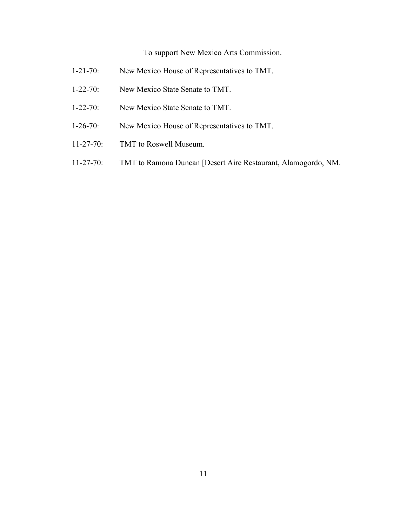## To support New Mexico Arts Commission.

- 1-21-70: New Mexico House of Representatives to TMT.
- 1-22-70: New Mexico State Senate to TMT.
- 1-22-70: New Mexico State Senate to TMT.
- 1-26-70: New Mexico House of Representatives to TMT.
- 11-27-70: TMT to Roswell Museum.
- 11-27-70: TMT to Ramona Duncan [Desert Aire Restaurant, Alamogordo, NM.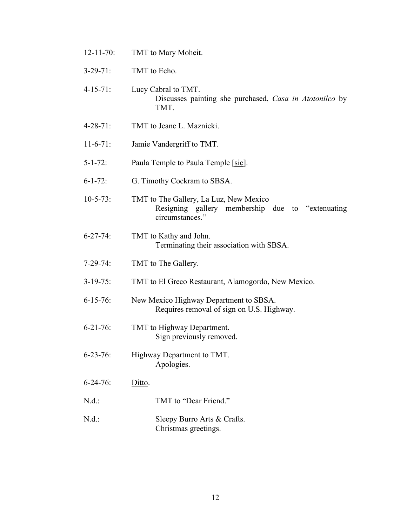- 12-11-70: TMT to Mary Moheit.
- 3-29-71: TMT to Echo.
- 4-15-71: Lucy Cabral to TMT. Discusses painting she purchased, *Casa in Atotonilco* by TMT.
- 4-28-71: TMT to Jeane L. Maznicki.
- 11-6-71: Jamie Vandergriff to TMT.
- 5-1-72: Paula Temple to Paula Temple [sic].
- 6-1-72: G. Timothy Cockram to SBSA.
- 10-5-73: TMT to The Gallery, La Luz, New Mexico Resigning gallery membership due to "extenuating circumstances."
- 6-27-74: TMT to Kathy and John. Terminating their association with SBSA.
- 7-29-74: TMT to The Gallery.
- 3-19-75: TMT to El Greco Restaurant, Alamogordo, New Mexico.
- 6-15-76: New Mexico Highway Department to SBSA. Requires removal of sign on U.S. Highway.
- 6-21-76: TMT to Highway Department. Sign previously removed.
- 6-23-76: Highway Department to TMT. Apologies.
- 6-24-76: Ditto.
- N.d.: TMT to "Dear Friend."
- N.d.: Sleepy Burro Arts & Crafts. Christmas greetings.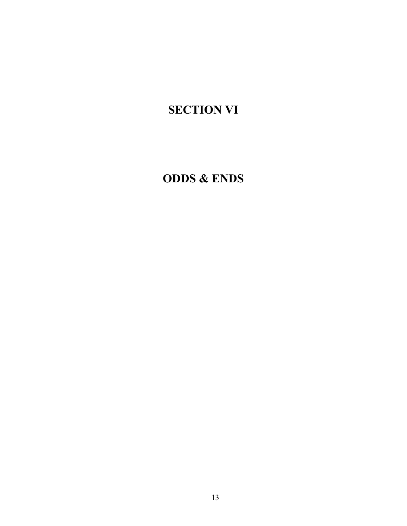# **SECTION VI**

## **ODDS & ENDS**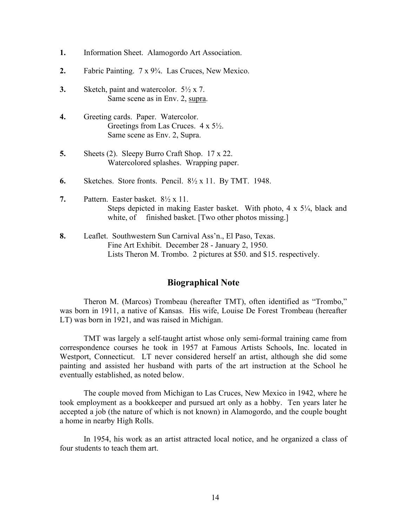- **1.** Information Sheet. Alamogordo Art Association.
- **2.** Fabric Painting. 7 x 9¾. Las Cruces, New Mexico.
- **3.** Sketch, paint and watercolor. 5½ x 7. Same scene as in Env. 2, supra.
- **4.** Greeting cards. Paper. Watercolor. Greetings from Las Cruces. 4 x 5½. Same scene as Env. 2, Supra.
- **5.** Sheets (2). Sleepy Burro Craft Shop. 17 x 22. Watercolored splashes. Wrapping paper.
- **6.** Sketches. Store fronts. Pencil. 8½ x 11. By TMT. 1948.
- **7.** Pattern. Easter basket. 8½ x 11. Steps depicted in making Easter basket. With photo, 4 x 5<sup>1</sup>/<sub>4</sub>, black and white, of finished basket. [Two other photos missing.]
- **8.** Leaflet. Southwestern Sun Carnival Ass'n., El Paso, Texas. Fine Art Exhibit. December 28 - January 2, 1950. Lists Theron M. Trombo. 2 pictures at \$50. and \$15. respectively.

### **Biographical Note**

Theron M. (Marcos) Trombeau (hereafter TMT), often identified as "Trombo," was born in 1911, a native of Kansas. His wife, Louise De Forest Trombeau (hereafter LT) was born in 1921, and was raised in Michigan.

TMT was largely a self-taught artist whose only semi-formal training came from correspondence courses he took in 1957 at Famous Artists Schools, Inc. located in Westport, Connecticut. LT never considered herself an artist, although she did some painting and assisted her husband with parts of the art instruction at the School he eventually established, as noted below.

The couple moved from Michigan to Las Cruces, New Mexico in 1942, where he took employment as a bookkeeper and pursued art only as a hobby. Ten years later he accepted a job (the nature of which is not known) in Alamogordo, and the couple bought a home in nearby High Rolls.

In 1954, his work as an artist attracted local notice, and he organized a class of four students to teach them art.